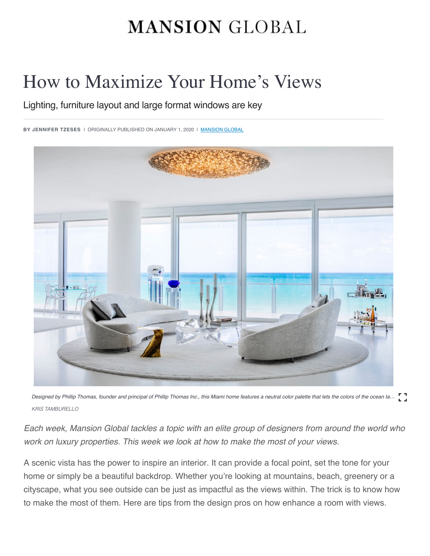# **MANSION GLOBAL**

# How to Maximize Your Home's Views

Lighting, furniture layout and large format windows are key

**BY JENNIFER TZESES** I ORIGINALLY PUBLISHED ON JANUARY 1, 2020 I <u>[MANSION GLOBAL](https://www.mansionglobal.com/)</u>



Designed by Phillip Thomas, founder and principal of Phillip Thomas Inc., this Miami home features a neutral color palette that lets the colors of the ocean ta... *KRIS TAMBURELLO*

*Each week, Mansion Global tackles a topic with an elite group of designers from around the world who work on luxury properties. This week we look at how to make the most of your views.*

A scenic vista has the power to inspire an interior. It can provide a focal point, set the tone for your home or simply be a beautiful backdrop. Whether you're looking at mountains, beach, greenery or a cityscape, what you see outside can be just as impactful as the views within. The trick is to know how to make the most of them. Here are tips from the design pros on how enhance a room with views.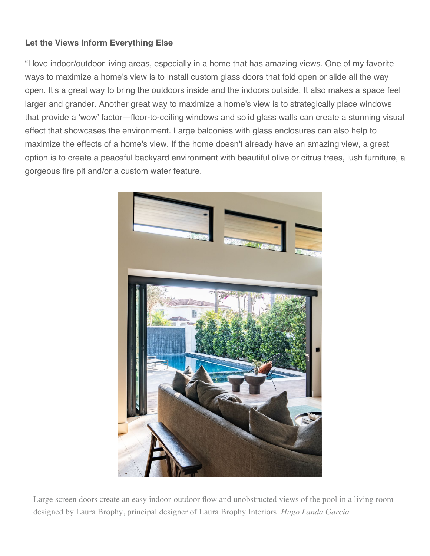### **Let the Views Inform Everything Else**

"I love indoor/outdoor living areas, especially in a home that has amazing views. One of my favorite ways to maximize a home's view is to install custom glass doors that fold open or slide all the way open. It's a great way to bring the outdoors inside and the indoors outside. It also makes a space feel larger and grander. Another great way to maximize a home's view is to strategically place windows that provide a 'wow' factor—floor-to-ceiling windows and solid glass walls can create a stunning visual effect that showcases the environment. Large balconies with glass enclosures can also help to maximize the effects of a home's view. If the home doesn't already have an amazing view, a great option is to create a peaceful backyard environment with beautiful olive or citrus trees, lush furniture, a gorgeous fire pit and/or a custom water feature.



Large screen doors create an easy indoor-outdoor flow and unobstructed views of the pool in a living room designed by Laura Brophy, principal designer of Laura Brophy Interiors. *Hugo Landa Garcia*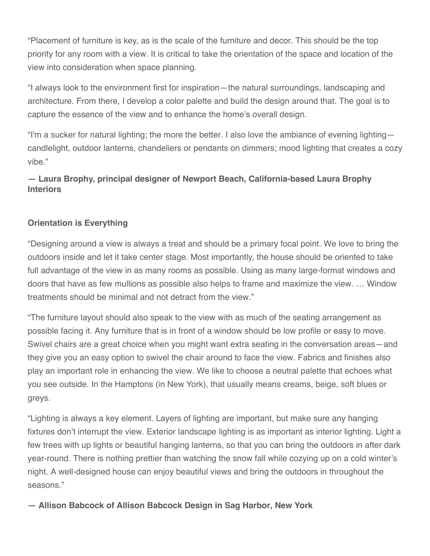"Placement of furniture is key, as is the scale of the furniture and decor. This should be the top priority for any room with a view. It is critical to take the orientation of the space and location of the view into consideration when space planning.

"I always look to the environment first for inspiration—the natural surroundings, landscaping and architecture. From there, I develop a color palette and build the design around that. The goal is to capture the essence of the view and to enhance the home's overall design.

"I'm a sucker for natural lighting; the more the better. I also love the ambiance of evening lighting candlelight, outdoor lanterns, chandeliers or pendants on dimmers; mood lighting that creates a cozy vibe."

# **— Laura Brophy, principal designer of Newport Beach, California-based Laura Brophy Interiors**

# **Orientation is Everything**

"Designing around a view is always a treat and should be a primary focal point. We love to bring the outdoors inside and let it take center stage. Most importantly, the house should be oriented to take full advantage of the view in as many rooms as possible. Using as many large-format windows and doors that have as few mullions as possible also helps to frame and maximize the view. … Window treatments should be minimal and not detract from the view."

"The furniture layout should also speak to the view with as much of the seating arrangement as possible facing it. Any furniture that is in front of a window should be low profile or easy to move. Swivel chairs are a great choice when you might want extra seating in the conversation areas—and they give you an easy option to swivel the chair around to face the view. Fabrics and finishes also play an important role in enhancing the view. We like to choose a neutral palette that echoes what you see outside. In the Hamptons (in New York), that usually means creams, beige, soft blues or greys.

"Lighting is always a key element. Layers of lighting are important, but make sure any hanging fixtures don't interrupt the view. Exterior landscape lighting is as important as interior lighting. Light a few trees with up lights or beautiful hanging lanterns, so that you can bring the outdoors in after dark year-round. There is nothing prettier than watching the snow fall while cozying up on a cold winter's night. A well-designed house can enjoy beautiful views and bring the outdoors in throughout the seasons."

**— Allison Babcock of Allison Babcock Design in Sag Harbor, New York**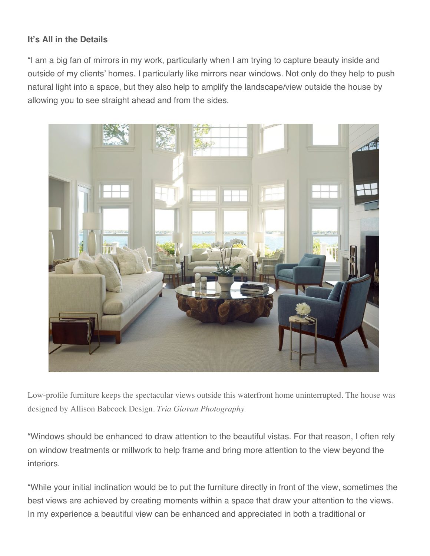#### **It's All in the Details**

"I am a big fan of mirrors in my work, particularly when I am trying to capture beauty inside and outside of my clients' homes. I particularly like mirrors near windows. Not only do they help to push natural light into a space, but they also help to amplify the landscape/view outside the house by allowing you to see straight ahead and from the sides.



Low-profile furniture keeps the spectacular views outside this waterfront home uninterrupted. The house was designed by Allison Babcock Design. *Tria Giovan Photography*

"Windows should be enhanced to draw attention to the beautiful vistas. For that reason, I often rely on window treatments or millwork to help frame and bring more attention to the view beyond the interiors.

"While your initial inclination would be to put the furniture directly in front of the view, sometimes the best views are achieved by creating moments within a space that draw your attention to the views. In my experience a beautiful view can be enhanced and appreciated in both a traditional or